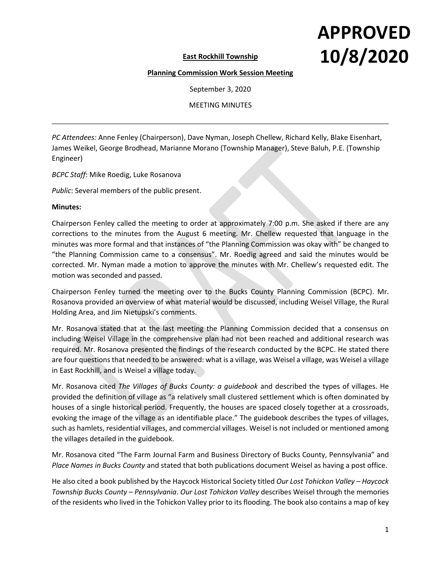## **APPROVED 10/8/2020**

**East Rockhill Township** 

## **Planning Commission Work Session Meeting**

September 3, 2020

MEETING MINUTES

*PC Attendees:* Anne Fenley (Chairperson), Dave Nyman, Joseph Chellew, Richard Kelly, Blake Eisenhart, James Weikel, George Brodhead, Marianne Morano (Township Manager), Steve Baluh, P.E. (Township Engineer)

*BCPC Staff*: Mike Roedig, Luke Rosanova

*Public*: Several members of the public present.

## **Minutes:**

Chairperson Fenley called the meeting to order at approximately 7:00 p.m. She asked if there are any corrections to the minutes from the August 6 meeting. Mr. Chellew requested that language in the minutes was more formal and that instances of "the Planning Commission was okay with" be changed to "the Planning Commission came to a consensus". Mr. Roedig agreed and said the minutes would be corrected. Mr. Nyman made a motion to approve the minutes with Mr. Chellew's requested edit. The motion was seconded and passed.

Chairperson Fenley turned the meeting over to the Bucks County Planning Commission (BCPC). Mr. Rosanova provided an overview of what material would be discussed, including Weisel Village, the Rural Holding Area, and Jim Nietupski's comments.

Mr. Rosanova stated that at the last meeting the Planning Commission decided that a consensus on including Weisel Village in the comprehensive plan had not been reached and additional research was required. Mr. Rosanova presented the findings of the research conducted by the BCPC. He stated there are four questions that needed to be answered: what is a village, was Weisel a village, was Weisel a village in East Rockhill, and is Weisel a village today.

Mr. Rosanova cited *The Villages of Bucks County: a guidebook* and described the types of villages. He provided the definition of village as "a relatively small clustered settlement which is often dominated by houses of a single historical period. Frequently, the houses are spaced closely together at a crossroads, evoking the image of the village as an identifiable place." The guidebook describes the types of villages, such as hamlets, residential villages, and commercial villages. Weisel is not included or mentioned among the villages detailed in the guidebook.

Mr. Rosanova cited "The Farm Journal Farm and Business Directory of Bucks County, Pennsylvania" and *Place Names in Bucks County* and stated that both publications document Weisel as having a post office.

He also cited a book published by the Haycock Historical Society titled *Our Lost Tohickon Valley – Haycock Township Bucks County – Pennsylvania*. *Our Lost Tohickon Valley* describes Weisel through the memories of the residents who lived in the Tohickon Valley prior to its flooding. The book also contains a map of key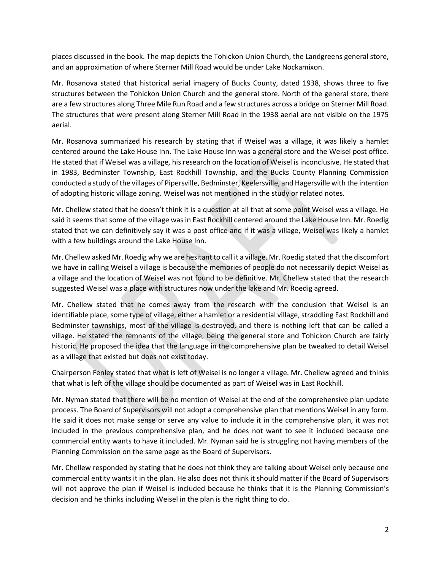places discussed in the book. The map depicts the Tohickon Union Church, the Landgreens general store, and an approximation of where Sterner Mill Road would be under Lake Nockamixon.

Mr. Rosanova stated that historical aerial imagery of Bucks County, dated 1938, shows three to five structures between the Tohickon Union Church and the general store. North of the general store, there are a few structures along Three Mile Run Road and a few structures across a bridge on Sterner Mill Road. The structures that were present along Sterner Mill Road in the 1938 aerial are not visible on the 1975 aerial.

Mr. Rosanova summarized his research by stating that if Weisel was a village, it was likely a hamlet centered around the Lake House Inn. The Lake House Inn was a general store and the Weisel post office. He stated that if Weisel was a village, his research on the location of Weisel is inconclusive. He stated that in 1983, Bedminster Township, East Rockhill Township, and the Bucks County Planning Commission conducted a study of the villages of Pipersville, Bedminster, Keelersville, and Hagersville with the intention of adopting historic village zoning. Weisel was not mentioned in the study or related notes.

Mr. Chellew stated that he doesn't think it is a question at all that at some point Weisel was a village. He said it seems that some of the village was in East Rockhill centered around the Lake House Inn. Mr. Roedig stated that we can definitively say it was a post office and if it was a village, Weisel was likely a hamlet with a few buildings around the Lake House Inn.

Mr. Chellew asked Mr. Roedig why we are hesitant to call it a village. Mr. Roedig stated that the discomfort we have in calling Weisel a village is because the memories of people do not necessarily depict Weisel as a village and the location of Weisel was not found to be definitive. Mr. Chellew stated that the research suggested Weisel was a place with structures now under the lake and Mr. Roedig agreed.

Mr. Chellew stated that he comes away from the research with the conclusion that Weisel is an identifiable place, some type of village, either a hamlet or a residential village, straddling East Rockhill and Bedminster townships, most of the village is destroyed, and there is nothing left that can be called a village. He stated the remnants of the village, being the general store and Tohickon Church are fairly historic. He proposed the idea that the language in the comprehensive plan be tweaked to detail Weisel as a village that existed but does not exist today.

Chairperson Fenley stated that what is left of Weisel is no longer a village. Mr. Chellew agreed and thinks that what is left of the village should be documented as part of Weisel was in East Rockhill.

Mr. Nyman stated that there will be no mention of Weisel at the end of the comprehensive plan update process. The Board of Supervisors will not adopt a comprehensive plan that mentions Weisel in any form. He said it does not make sense or serve any value to include it in the comprehensive plan, it was not included in the previous comprehensive plan, and he does not want to see it included because one commercial entity wants to have it included. Mr. Nyman said he is struggling not having members of the Planning Commission on the same page as the Board of Supervisors.

Mr. Chellew responded by stating that he does not think they are talking about Weisel only because one commercial entity wants it in the plan. He also does not think it should matter if the Board of Supervisors will not approve the plan if Weisel is included because he thinks that it is the Planning Commission's decision and he thinks including Weisel in the plan is the right thing to do.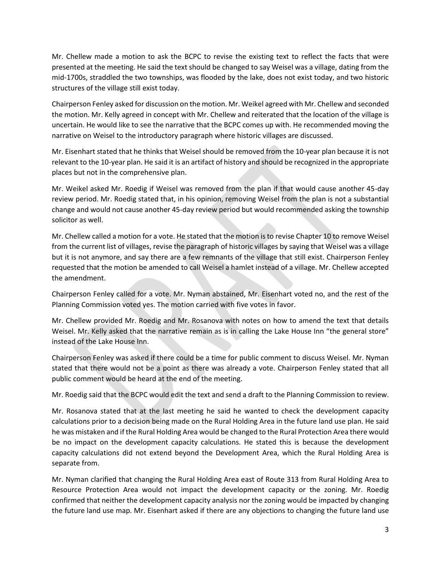Mr. Chellew made a motion to ask the BCPC to revise the existing text to reflect the facts that were presented at the meeting. He said the text should be changed to say Weisel was a village, dating from the mid-1700s, straddled the two townships, was flooded by the lake, does not exist today, and two historic structures of the village still exist today.

Chairperson Fenley asked for discussion on the motion. Mr. Weikel agreed with Mr. Chellew and seconded the motion. Mr. Kelly agreed in concept with Mr. Chellew and reiterated that the location of the village is uncertain. He would like to see the narrative that the BCPC comes up with. He recommended moving the narrative on Weisel to the introductory paragraph where historic villages are discussed.

Mr. Eisenhart stated that he thinks that Weisel should be removed from the 10-year plan because it is not relevant to the 10-year plan. He said it is an artifact of history and should be recognized in the appropriate places but not in the comprehensive plan.

Mr. Weikel asked Mr. Roedig if Weisel was removed from the plan if that would cause another 45-day review period. Mr. Roedig stated that, in his opinion, removing Weisel from the plan is not a substantial change and would not cause another 45-day review period but would recommended asking the township solicitor as well.

Mr. Chellew called a motion for a vote. He stated that the motion is to revise Chapter 10 to remove Weisel from the current list of villages, revise the paragraph of historic villages by saying that Weisel was a village but it is not anymore, and say there are a few remnants of the village that still exist. Chairperson Fenley requested that the motion be amended to call Weisel a hamlet instead of a village. Mr. Chellew accepted the amendment.

Chairperson Fenley called for a vote. Mr. Nyman abstained, Mr. Eisenhart voted no, and the rest of the Planning Commission voted yes. The motion carried with five votes in favor.

Mr. Chellew provided Mr. Roedig and Mr. Rosanova with notes on how to amend the text that details Weisel. Mr. Kelly asked that the narrative remain as is in calling the Lake House Inn "the general store" instead of the Lake House Inn.

Chairperson Fenley was asked if there could be a time for public comment to discuss Weisel. Mr. Nyman stated that there would not be a point as there was already a vote. Chairperson Fenley stated that all public comment would be heard at the end of the meeting.

Mr. Roedig said that the BCPC would edit the text and send a draft to the Planning Commission to review.

Mr. Rosanova stated that at the last meeting he said he wanted to check the development capacity calculations prior to a decision being made on the Rural Holding Area in the future land use plan. He said he was mistaken and if the Rural Holding Area would be changed to the Rural Protection Area there would be no impact on the development capacity calculations. He stated this is because the development capacity calculations did not extend beyond the Development Area, which the Rural Holding Area is separate from.

Mr. Nyman clarified that changing the Rural Holding Area east of Route 313 from Rural Holding Area to Resource Protection Area would not impact the development capacity or the zoning. Mr. Roedig confirmed that neither the development capacity analysis nor the zoning would be impacted by changing the future land use map. Mr. Eisenhart asked if there are any objections to changing the future land use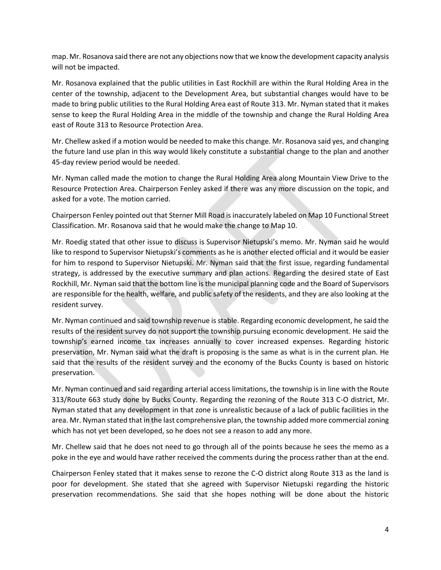map. Mr. Rosanova said there are not any objections now that we know the development capacity analysis will not be impacted.

Mr. Rosanova explained that the public utilities in East Rockhill are within the Rural Holding Area in the center of the township, adjacent to the Development Area, but substantial changes would have to be made to bring public utilities to the Rural Holding Area east of Route 313. Mr. Nyman stated that it makes sense to keep the Rural Holding Area in the middle of the township and change the Rural Holding Area east of Route 313 to Resource Protection Area.

Mr. Chellew asked if a motion would be needed to make this change. Mr. Rosanova said yes, and changing the future land use plan in this way would likely constitute a substantial change to the plan and another 45-day review period would be needed.

Mr. Nyman called made the motion to change the Rural Holding Area along Mountain View Drive to the Resource Protection Area. Chairperson Fenley asked if there was any more discussion on the topic, and asked for a vote. The motion carried.

Chairperson Fenley pointed out that Sterner Mill Road is inaccurately labeled on Map 10 Functional Street Classification. Mr. Rosanova said that he would make the change to Map 10.

Mr. Roedig stated that other issue to discuss is Supervisor Nietupski's memo. Mr. Nyman said he would like to respond to Supervisor Nietupski's comments as he is another elected official and it would be easier for him to respond to Supervisor Nietupski. Mr. Nyman said that the first issue, regarding fundamental strategy, is addressed by the executive summary and plan actions. Regarding the desired state of East Rockhill, Mr. Nyman said that the bottom line is the municipal planning code and the Board of Supervisors are responsible for the health, welfare, and public safety of the residents, and they are also looking at the resident survey.

Mr. Nyman continued and said township revenue is stable. Regarding economic development, he said the results of the resident survey do not support the township pursuing economic development. He said the township's earned income tax increases annually to cover increased expenses. Regarding historic preservation, Mr. Nyman said what the draft is proposing is the same as what is in the current plan. He said that the results of the resident survey and the economy of the Bucks County is based on historic preservation.

Mr. Nyman continued and said regarding arterial access limitations, the township is in line with the Route 313/Route 663 study done by Bucks County. Regarding the rezoning of the Route 313 C-O district, Mr. Nyman stated that any development in that zone is unrealistic because of a lack of public facilities in the area. Mr. Nyman stated that in the last comprehensive plan, the township added more commercial zoning which has not yet been developed, so he does not see a reason to add any more.

Mr. Chellew said that he does not need to go through all of the points because he sees the memo as a poke in the eye and would have rather received the comments during the process rather than at the end.

Chairperson Fenley stated that it makes sense to rezone the C-O district along Route 313 as the land is poor for development. She stated that she agreed with Supervisor Nietupski regarding the historic preservation recommendations. She said that she hopes nothing will be done about the historic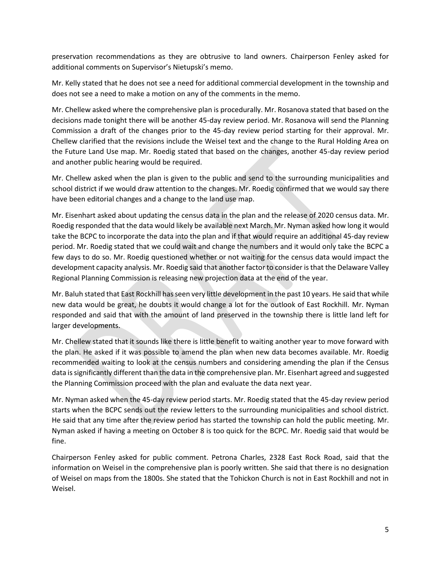preservation recommendations as they are obtrusive to land owners. Chairperson Fenley asked for additional comments on Supervisor's Nietupski's memo.

Mr. Kelly stated that he does not see a need for additional commercial development in the township and does not see a need to make a motion on any of the comments in the memo.

Mr. Chellew asked where the comprehensive plan is procedurally. Mr. Rosanova stated that based on the decisions made tonight there will be another 45-day review period. Mr. Rosanova will send the Planning Commission a draft of the changes prior to the 45-day review period starting for their approval. Mr. Chellew clarified that the revisions include the Weisel text and the change to the Rural Holding Area on the Future Land Use map. Mr. Roedig stated that based on the changes, another 45-day review period and another public hearing would be required.

Mr. Chellew asked when the plan is given to the public and send to the surrounding municipalities and school district if we would draw attention to the changes. Mr. Roedig confirmed that we would say there have been editorial changes and a change to the land use map.

Mr. Eisenhart asked about updating the census data in the plan and the release of 2020 census data. Mr. Roedig responded that the data would likely be available next March. Mr. Nyman asked how long it would take the BCPC to incorporate the data into the plan and if that would require an additional 45-day review period. Mr. Roedig stated that we could wait and change the numbers and it would only take the BCPC a few days to do so. Mr. Roedig questioned whether or not waiting for the census data would impact the development capacity analysis. Mr. Roedig said that another factor to consider is that the Delaware Valley Regional Planning Commission is releasing new projection data at the end of the year.

Mr. Baluh stated that East Rockhill has seen very little development in the past 10 years. He said that while new data would be great, he doubts it would change a lot for the outlook of East Rockhill. Mr. Nyman responded and said that with the amount of land preserved in the township there is little land left for larger developments.

Mr. Chellew stated that it sounds like there is little benefit to waiting another year to move forward with the plan. He asked if it was possible to amend the plan when new data becomes available. Mr. Roedig recommended waiting to look at the census numbers and considering amending the plan if the Census data is significantly different than the data in the comprehensive plan. Mr. Eisenhart agreed and suggested the Planning Commission proceed with the plan and evaluate the data next year.

Mr. Nyman asked when the 45-day review period starts. Mr. Roedig stated that the 45-day review period starts when the BCPC sends out the review letters to the surrounding municipalities and school district. He said that any time after the review period has started the township can hold the public meeting. Mr. Nyman asked if having a meeting on October 8 is too quick for the BCPC. Mr. Roedig said that would be fine.

Chairperson Fenley asked for public comment. Petrona Charles, 2328 East Rock Road, said that the information on Weisel in the comprehensive plan is poorly written. She said that there is no designation of Weisel on maps from the 1800s. She stated that the Tohickon Church is not in East Rockhill and not in Weisel.